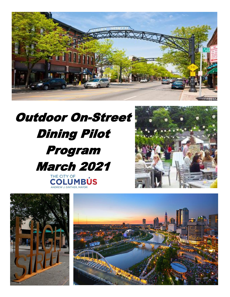

# Outdoor On-Street Dining Pilot Program March 2021THE CITY OF<br>COLUMBUS





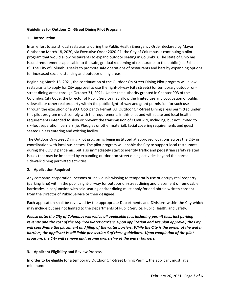#### **Guidelines for Outdoor On-Street Dining Pilot Program**

#### **1. Introduction**

In an effort to assist local restaurants during the Public Health Emergency Order declared by Mayor Ginther on March 18, 2020, via Executive Order 2020-01, the City of Columbus is continuing a pilot program that would allow restaurants to expand outdoor seating in Columbus. The state of Ohio has issued requirements applicable to the safe, gradual reopening of restaurants to the public (see Exhibit B). The City of Columbus seeks to promote safe operations of restaurants and bars by expanding options for increased social distancing and outdoor dining areas.

Beginning March 15, 2021, the continuation of the Outdoor On-Street Dining Pilot program will allow restaurants to apply for City approval to use the right-of-way (city streets) for temporary outdoor onstreet dining areas through October 31, 2021. Under the authority granted in Chapter 903 of the Columbus City Code, the Director of Public Service may allow the limited use and occupation of public sidewalk, or other real property within the public right-of-way and grant permission for such uses through the execution of a 903 Occupancy Permit. All Outdoor On-Street Dining areas permitted under this pilot program must comply with the requirements in this pilot and with state and local health requirements intended to slow or prevent the transmission of COVID-19, including, but not limited to six-foot separation, barriers (ie. Plexiglas or other material), facial covering requirements and guest seated unless entering and existing facility.

The Outdoor On-Street Dining Pilot program is being instituted at approved locations across the City in coordination with local businesses. The pilot program will enable the City to support local restaurants during the COVID pandemic, but also immediately start to identify traffic and pedestrian safety related issues that may be impacted by expanding outdoor on-street dining activities beyond the normal sidewalk dining permitted activities.

#### **2. Application Required**

Any company, corporation, persons or individuals wishing to temporarily use or occupy real property (parking lane) within the public right-of-way for outdoor on-street dining and placement of removable barricades in conjunction with said seating and/or dining must apply for and obtain written consent from the Director of Public Service or their designee.

Each application shall be reviewed by the appropriate Departments and Divisions within the City which may include but are not limited to the Departments of Public Service, Public Health, and Safety.

*Please note: the City of Columbus will waive all applicable fees including permit fees, lost parking revenue and the cost of the required water barriers. Upon application and site plan approval, the City will coordinate the placement and filing of the water barriers. While the City is the owner of the water barriers, the applicant is still liable per section 6 of these guidelines. Upon completion of the pilot program, the City will remove and resume ownership of the water barriers.*

## **3. Applicant Eligibility and Review Process**

In order to be eligible for a temporary Outdoor On-Street Dining Permit, the applicant must, at a minimum: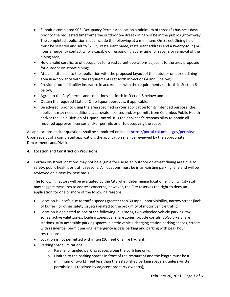- Submit a completed 903 Occupancy Permit Application a minimum of three (3) business days prior to the requested timeframe the outdoor on-street dining will be in the public right-of-way. The completed application must include the following at a minimum: On-Street Dining field must be selected and set to "YES", restaurant name, restaurant address and a twenty-four (24) hour emergency contact who is capable of responding at any time for repairs or removal of the dining area;
- Hold a valid certificate of occupancy for a restaurant operations adjacent to the area proposed for outdoor on-street dining;
- Attach a site plan to the application with the proposed layout of the outdoor on-street dining area in accordance with the requirements set forth in Sections 4 and 5 below;
- Provide proof of liability insurance in accordance with the requirements set forth in Section 6 below;
- Agree to the City's terms and conditions set forth in Section 8 below; and
- Obtain the required State of Ohio liquor approvals; if applicable.
- Be advised, prior to using the area specified in your application for its intended purpose, the applicant may need additional approvals, licenses and/or permits from Columbus Public Health and/or the Ohio Division of Liquor Control. It is the applicant's responsibility to obtain all required approves, licenses and/or permits prior to occupying the space.

All applications and/or questions shall be submitted online at [https://portal.columbus.gov/permits/.](https://portal.columbus.gov/permits/) Upon receipt of a completed application, the application shall be reviewed by the appropriate Departments and Division.

# **4. Location and Construction Provisions**

A. Certain on-street locations may not be eligible for use as an outdoor on-street dining area due to safety, public health, or traffic reasons. All locations must be in an existing parking lane and will be reviewed on a case-by-case basis.

The following factors will be evaluated by the City when determining location eligibility. City staff may suggest measures to address concerns, however, the City reserves the right to deny an application for one or more of the following reasons:

- Location is unsafe due to traffic speeds greater than 30 mph , poor visibility, narrow street (lack of buffer), or other safety issue(s) related to the proximity of motor vehicle traffic;
- Location is dedicated as one of the following: bus stops, two-wheeled vehicle parking, taxi zones, active valet zones, loading zones, car share zones, bicycle corrals, CoGo Bike Share stations, ADA accessible parking spaces, electric vehicle charging station parking spaces, streets with residential permit parking, emergency access parking and parking with peak hour restrictions;
- Location is not permitted within ten (10) feet of a fire hydrant;
- Parking space limitations:
	- o Parallel or angled parking spaces along the curb line only,;
	- $\circ$  Limited to the parking spaces in front of the restaurant and the length must be a minimum of two (2) feet less than the established parking space(s), unless written permission is received by adjacent property owner(s);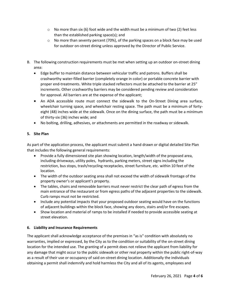- $\circ$  No more than six (6) foot wide and the width must be a minimum of two (2) feet less than the established parking space(s); and
- $\circ$  No more than seventy percent (70%), of the parking spaces on a block face may be used for outdoor on-street dining unless approved by the Director of Public Service.
- B. The following construction requirements must be met when setting up an outdoor on-street dining area:
	- Edge buffer to maintain distance between vehicular traffic and patrons. Buffers shall be crashworthy water-filled barrier (completely orange in color) or portable concrete barrier with proper end-treatments. White triple stacked reflectors must be attached to the barrier at 25" increments. Other crashworthy barriers may be considered pending review and consideration for approval. All barriers are at the expense of the applicant;
	- An ADA accessible route must connect the sidewalk to the On-Street Dining area surface, wheelchair turning space, and wheelchair resting space. The path must be a minimum of fortyeight (48) inches wide at the sidewalk. Once on the dining surface, the path must be a minimum of thirty-six (36) inches wide; and
	- No bolting, drilling, adhesives, or attachments are permitted in the roadway or sidewalk.

# **5. Site Plan**

As part of the application process, the applicant must submit a hand drawn or digital detailed Site Plan that includes the following general requirements:

- Provide a fully dimensioned site plan showing location, length/width of the proposed area, including driveways, utility poles, hydrants, parking meters, street signs including the restriction, bus stops, trash/recycling receptacles, street furniture, etc. within 10 feet of the location.
- The width of the outdoor seating area shall not exceed the width of sidewalk frontage of the property owner's or applicant's property.
- The tables, chairs and removable barriers must never restrict the clear path of egress from the main entrance of the restaurant or from egress paths of the adjacent properties to the sidewalk. Curb ramps must not be restricted.
- Include any potential impacts that your proposed outdoor seating would have on the functions of adjacent buildings within the block face, showing any doors, stairs and/or fire escapes.
- Show location and material of ramps to be installed if needed to provide accessible seating at street elevation.

## **6. Liability and Insurance Requirements**

The applicant shall acknowledge acceptance of the premises in "as is" condition with absolutely no warranties, implied or expressed, by the City as to the condition or suitability of the on-street dining location for the intended use. The granting of a permit does not relieve the applicant from liability for any damage that might occur to the public sidewalk or other real property within the public right-of-way as a result of their use or occupancy of said on-street dining location. Additionally the individuals obtaining a permit shall indemnify and hold harmless the City and all of its agents, employees and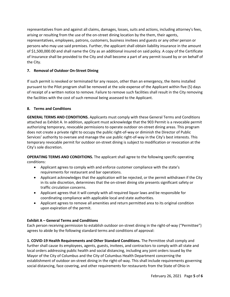representatives from and against all claims, damages, losses, suits and actions, including attorney's fees, arising or resulting from the use of the on-street dining location by the them, their agents, representatives, employees, patrons, customers, business invitees and guests or any other person or persons who may use said premises. Further, the applicant shall obtain liability insurance in the amount of \$1,500,000.00 and shall name the City as an additional insured on said policy. A copy of the Certificate of Insurance shall be provided to the City and shall become a part of any permit issued by or on behalf of the City.

# **7. Removal of Outdoor On-Street Dining**

If such permit is revoked or terminated for any reason, other than an emergency, the items installed pursuant to the Pilot program shall be removed at the sole expense of the Applicant within five (5) days of receipt of a written notice to remove. Failure to remove such facilities shall result in the City removing the facilities with the cost of such removal being assessed to the Applicant.

## **8. Terms and Conditions**

**GENERAL TERMS AND CONDITIONS.** Applicants must comply with these General Terms and Conditions attached as Exhibit A. In addition, applicant must acknowledge that the 903 Permit is a revocable permit authorizing temporary, revocable permissions to operate outdoor on-street dining areas. This program does not create a private right to occupy the public right-of-way or diminish the Director of Public Services' authority to oversee and manage the use public right-of-way in the City's best interests. This temporary revocable permit for outdoor on-street dining is subject to modification or revocation at the City's sole discretion.

**OPERATING TERMS AND CONDITIONS.** The applicant shall agree to the following specific operating conditions:

- Applicant agrees to comply with and enforce customer compliance with the state's requirements for restaurant and bar operations.
- Applicant acknowledges that the application will be rejected, or the permit withdrawn if the City in its sole discretion, determines that the on-street dining site presents significant safety or traffic circulation concerns.
- Applicant agrees that it will comply with all required liquor laws and be responsible for coordinating compliance with applicable local and state authorities.
- Applicant agrees to remove all amenities and return permitted area to its original condition upon expiration of the permit.

# **Exhibit A – General Terms and Conditions**

Each person receiving permission to establish outdoor on-street dining in the right-of-way ("Permittee") agrees to abide by the following standard terms and conditions of approval:

**1. COVID-19 Health Requirements and Other Standard Conditions.** The Permittee shall comply and further shall cause its employees, agents, guests, invitees, and contractors to comply with all state and local orders addressing public health and social distancing, including any joint orders issued by the Mayor of the City of Columbus and the City of Columbus Health Department concerning the establishment of outdoor on-street dining in the right-of-way. This shall include requirements governing social distancing, face covering, and other requirements for restaurants from the State of Ohio in